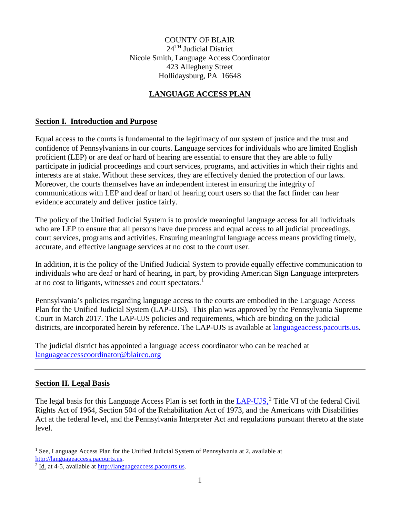COUNTY OF BLAIR 24TH Judicial District Nicole Smith, Language Access Coordinator 423 Allegheny Street Hollidaysburg, PA 16648

## **LANGUAGE ACCESS PLAN**

### **Section I. Introduction and Purpose**

Equal access to the courts is fundamental to the legitimacy of our system of justice and the trust and confidence of Pennsylvanians in our courts. Language services for individuals who are limited English proficient (LEP) or are deaf or hard of hearing are essential to ensure that they are able to fully participate in judicial proceedings and court services, programs, and activities in which their rights and interests are at stake. Without these services, they are effectively denied the protection of our laws. Moreover, the courts themselves have an independent interest in ensuring the integrity of communications with LEP and deaf or hard of hearing court users so that the fact finder can hear evidence accurately and deliver justice fairly.

The policy of the Unified Judicial System is to provide meaningful language access for all individuals who are LEP to ensure that all persons have due process and equal access to all judicial proceedings, court services, programs and activities. Ensuring meaningful language access means providing timely, accurate, and effective language services at no cost to the court user.

In addition, it is the policy of the Unified Judicial System to provide equally effective communication to individuals who are deaf or hard of hearing, in part, by providing American Sign Language interpreters at no cost to litigants, witnesses and court spectators.<sup>[1](#page-0-0)</sup>

Pennsylvania's policies regarding language access to the courts are embodied in the Language Access Plan for the Unified Judicial System (LAP-UJS). This plan was approved by the Pennsylvania Supreme Court in March 2017. The LAP-UJS policies and requirements, which are binding on the judicial districts, are incorporated herein by reference. The LAP-UJS is available at [languageaccess.pacourts.us.](http://www.pacourts.us/judicial-administration/court-programs/interpreter-program)

The judicial district has appointed a language access coordinator who can be reached at [languageaccesscoordinator@blairco.org](mailto:languageaccesscoordinator@blairco.org)

### **Section II. Legal Basis**

The legal basis for this Language Access Plan is set forth in the [LAP-UJS,](http://www.pacourts.us/assets/files/setting-5486/file-5972.pdf?cb=11e5cd)<sup>[2](#page-0-1)</sup> Title VI of the federal Civil Rights Act of 1964, Section 504 of the Rehabilitation Act of 1973, and the Americans with Disabilities Act at the federal level, and the Pennsylvania Interpreter Act and regulations pursuant thereto at the state level.

<span id="page-0-0"></span> $\overline{a}$ <sup>1</sup> See, Language Access Plan for the Unified Judicial System of Pennsylvania at 2, available at [http://languageaccess.pacourts.us.](http://languageaccess.pacourts.us/)

<span id="page-0-1"></span><sup>2</sup> Id. at 4-5, available a[t http://languageaccess.pacourts.us.](http://languageaccess.pacourts.us/)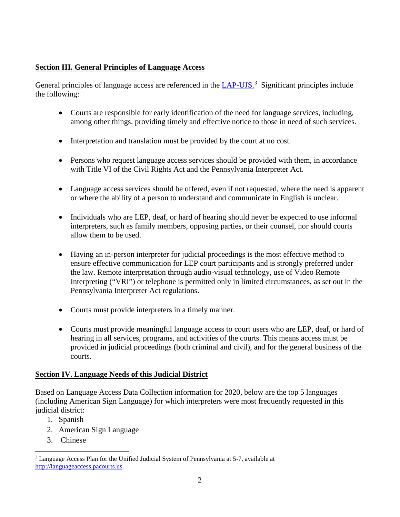## **Section III. General Principles of Language Access**

General principles of language access are referenced in the [LAP-UJS.](http://www.pacourts.us/assets/files/setting-5486/file-5972.pdf?cb=11e5cd)<sup>[3](#page-1-0)</sup> Significant principles include the following:

- Courts are responsible for early identification of the need for language services, including, among other things, providing timely and effective notice to those in need of such services.
- Interpretation and translation must be provided by the court at no cost.
- Persons who request language access services should be provided with them, in accordance with Title VI of the Civil Rights Act and the Pennsylvania Interpreter Act.
- Language access services should be offered, even if not requested, where the need is apparent or where the ability of a person to understand and communicate in English is unclear.
- Individuals who are LEP, deaf, or hard of hearing should never be expected to use informal interpreters, such as family members, opposing parties, or their counsel, nor should courts allow them to be used.
- Having an in-person interpreter for judicial proceedings is the most effective method to ensure effective communication for LEP court participants and is strongly preferred under the law. Remote interpretation through audio-visual technology, use of Video Remote Interpreting ("VRI") or telephone is permitted only in limited circumstances, as set out in the Pennsylvania Interpreter Act regulations.
- Courts must provide interpreters in a timely manner.
- Courts must provide meaningful language access to court users who are LEP, deaf, or hard of hearing in all services, programs, and activities of the courts. This means access must be provided in judicial proceedings (both criminal and civil), and for the general business of the courts.

## **Section IV. Language Needs of this Judicial District**

Based on Language Access Data Collection information for 2020, below are the top 5 languages (including American Sign Language) for which interpreters were most frequently requested in this judicial district:

- 1. Spanish
- 2. American Sign Language
- 3. Chinese

<span id="page-1-0"></span> $\overline{a}$ <sup>3</sup> Language Access Plan for the Unified Judicial System of Pennsylvania at 5-7, available at [http://languageaccess.pacourts.us.](http://languageaccess.pacourts.us/)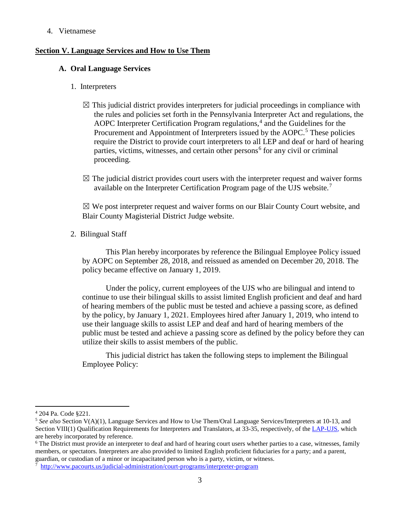#### 4. Vietnamese

#### **Section V. Language Services and How to Use Them**

#### **A. Oral Language Services**

- 1. Interpreters
	- $\boxtimes$  This judicial district provides interpreters for judicial proceedings in compliance with the rules and policies set forth in the Pennsylvania Interpreter Act and regulations, the AOPC Interpreter Certification Program regulations, $4$  and the Guidelines for the Procurement and Appointment of Interpreters issued by the AOPC.<sup>[5](#page-2-1)</sup> These policies require the District to provide court interpreters to all LEP and deaf or hard of hearing parties, victims, witnesses, and certain other persons<sup> $6$ </sup> for any civil or criminal proceeding.
	- $\boxtimes$  The judicial district provides court users with the interpreter request and waiver forms available on the Interpreter Certification Program page of the UJS website.<sup>[7](#page-2-3)</sup>

 $\boxtimes$  We post interpreter request and waiver forms on our Blair County Court website, and Blair County Magisterial District Judge website.

2. Bilingual Staff

This Plan hereby incorporates by reference the Bilingual Employee Policy issued by AOPC on September 28, 2018, and reissued as amended on December 20, 2018. The policy became effective on January 1, 2019.

Under the policy, current employees of the UJS who are bilingual and intend to continue to use their bilingual skills to assist limited English proficient and deaf and hard of hearing members of the public must be tested and achieve a passing score, as defined by the policy, by January 1, 2021. Employees hired after January 1, 2019, who intend to use their language skills to assist LEP and deaf and hard of hearing members of the public must be tested and achieve a passing score as defined by the policy before they can utilize their skills to assist members of the public.

This judicial district has taken the following steps to implement the Bilingual Employee Policy:

 $\overline{a}$ 

<span id="page-2-0"></span><sup>4</sup> 204 Pa. Code §221.

<span id="page-2-1"></span><sup>5</sup> *See also* Section V(A)(1), Language Services and How to Use Them/Oral Language Services/Interpreters at 10-13, and Section VIII(1) Qualification Requirements for Interpreters and Translators, at 33-35, respectively, of th[e LAP-UJS,](http://www.pacourts.us/assets/files/setting-5486/file-5972.pdf?cb=11e5cd) which are hereby incorporated by reference.

<span id="page-2-2"></span><sup>&</sup>lt;sup>6</sup> The District must provide an interpreter to deaf and hard of hearing court users whether parties to a case, witnesses, family members, or spectators. Interpreters are also provided to limited English proficient fiduciaries for a party; and a parent, guardian, or custodian of a minor or incapacitated person who is a party, victim, or witness.

<span id="page-2-3"></span><sup>7</sup> <http://www.pacourts.us/judicial-administration/court-programs/interpreter-program>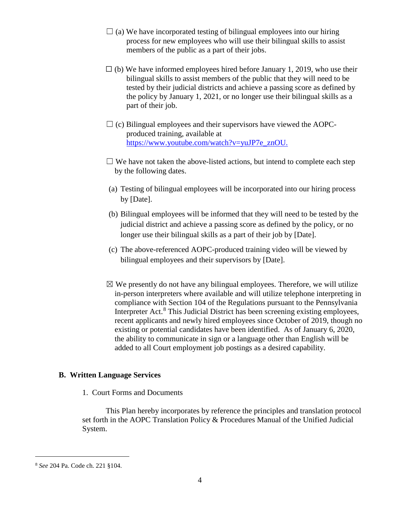- $\Box$  (a) We have incorporated testing of bilingual employees into our hiring process for new employees who will use their bilingual skills to assist members of the public as a part of their jobs.
- $\Box$  (b) We have informed employees hired before January 1, 2019, who use their bilingual skills to assist members of the public that they will need to be tested by their judicial districts and achieve a passing score as defined by the policy by January 1, 2021, or no longer use their bilingual skills as a part of their job.
- $\Box$  (c) Bilingual employees and their supervisors have viewed the AOPCproduced training, available at [https://www.youtube.com/watch?v=yuJP7e\\_znOU.](https://www.youtube.com/watch?v=yuJP7e_znOU)
- $\Box$  We have not taken the above-listed actions, but intend to complete each step by the following dates.
- (a) Testing of bilingual employees will be incorporated into our hiring process by [Date].
- (b) Bilingual employees will be informed that they will need to be tested by the judicial district and achieve a passing score as defined by the policy, or no longer use their bilingual skills as a part of their job by [Date].
- (c) The above-referenced AOPC-produced training video will be viewed by bilingual employees and their supervisors by [Date].
- $\boxtimes$  We presently do not have any bilingual employees. Therefore, we will utilize in-person interpreters where available and will utilize telephone interpreting in compliance with Section 104 of the Regulations pursuant to the Pennsylvania Interpreter Act. $8$  This Judicial District has been screening existing employees, recent applicants and newly hired employees since October of 2019, though no existing or potential candidates have been identified. As of January 6, 2020, the ability to communicate in sign or a language other than English will be added to all Court employment job postings as a desired capability.

### **B. Written Language Services**

1. Court Forms and Documents

This Plan hereby incorporates by reference the principles and translation protocol set forth in the AOPC Translation Policy & Procedures Manual of the Unified Judicial System.

 $\overline{a}$ 

<span id="page-3-0"></span><sup>8</sup> *See* 204 Pa. Code ch. 221 §104.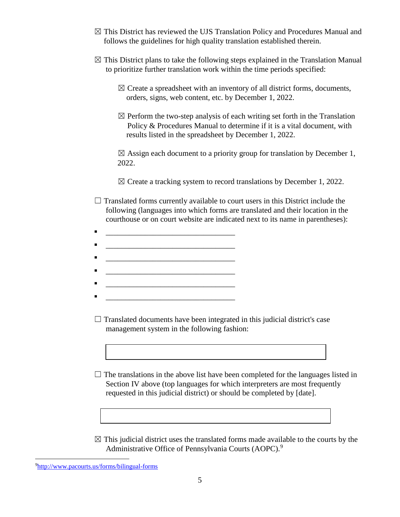- $\boxtimes$  This District has reviewed the UJS Translation Policy and Procedures Manual and follows the guidelines for high quality translation established therein.
- $\boxtimes$  This District plans to take the following steps explained in the Translation Manual to prioritize further translation work within the time periods specified:
	- $\boxtimes$  Create a spreadsheet with an inventory of all district forms, documents, orders, signs, web content, etc. by December 1, 2022.
	- $\boxtimes$  Perform the two-step analysis of each writing set forth in the Translation Policy & Procedures Manual to determine if it is a vital document, with results listed in the spreadsheet by December 1, 2022.

 $\boxtimes$  Assign each document to a priority group for translation by December 1, 2022.

 $\boxtimes$  Create a tracking system to record translations by December 1, 2022.

- $\Box$  Translated forms currently available to court users in this District include the following (languages into which forms are translated and their location in the courthouse or on court website are indicated next to its name in parentheses):
- \_\_\_\_\_\_\_\_\_\_\_\_\_\_\_\_\_\_\_\_\_\_\_\_\_\_\_\_\_\_\_\_\_
- \_\_\_\_\_\_\_\_\_\_\_\_\_\_\_\_\_\_\_\_\_\_\_\_\_\_\_\_\_\_\_\_\_
- 
- \_\_\_\_\_\_\_\_\_\_\_\_\_\_\_\_\_\_\_\_\_\_\_\_\_\_\_\_\_\_\_\_\_
- 
- 
- $\Box$  Translated documents have been integrated in this judicial district's case management system in the following fashion:

 $\Box$  The translations in the above list have been completed for the languages listed in Section IV above (top languages for which interpreters are most frequently requested in this judicial district) or should be completed by [date].

 $\boxtimes$  This judicial district uses the translated forms made available to the courts by the Administrative Office of Pennsylvania Courts (AOPC).<sup>[9](#page-4-0)</sup>

<span id="page-4-0"></span> $\overline{a}$ 9 <http://www.pacourts.us/forms/bilingual-forms>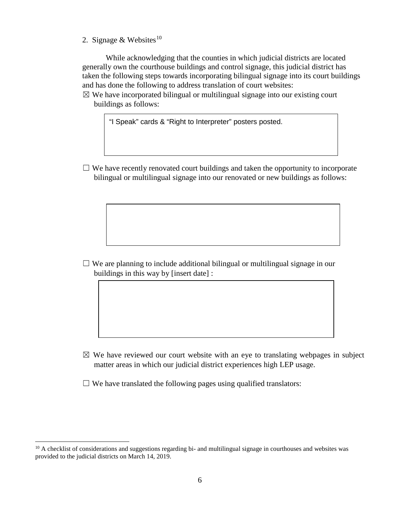2. Signage & Websites<sup>[10](#page-5-0)</sup>

While acknowledging that the counties in which judicial districts are located generally own the courthouse buildings and control signage, this judicial district has taken the following steps towards incorporating bilingual signage into its court buildings and has done the following to address translation of court websites:

 $\boxtimes$  We have incorporated bilingual or multilingual signage into our existing court buildings as follows:

"I Speak" cards & "Right to Interpreter" posters posted.

 $\Box$  We have recently renovated court buildings and taken the opportunity to incorporate bilingual or multilingual signage into our renovated or new buildings as follows:

 $\Box$  We are planning to include additional bilingual or multilingual signage in our buildings in this way by [insert date] :

 $\boxtimes$  We have reviewed our court website with an eye to translating webpages in subject matter areas in which our judicial district experiences high LEP usage.

 $\Box$  We have translated the following pages using qualified translators:

 $\overline{a}$ 

<span id="page-5-0"></span><sup>&</sup>lt;sup>10</sup> A checklist of considerations and suggestions regarding bi- and multilingual signage in courthouses and websites was provided to the judicial districts on March 14, 2019.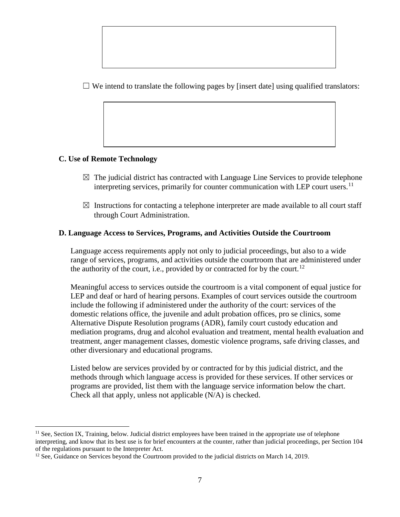$\Box$  We intend to translate the following pages by [insert date] using qualified translators:

## **C. Use of Remote Technology**

 $\overline{a}$ 

- $\boxtimes$  The judicial district has contracted with Language Line Services to provide telephone interpreting services, primarily for counter communication with LEP court users.<sup>[11](#page-6-0)</sup>
- $\boxtimes$  Instructions for contacting a telephone interpreter are made available to all court staff through Court Administration.

## **D. Language Access to Services, Programs, and Activities Outside the Courtroom**

Language access requirements apply not only to judicial proceedings, but also to a wide range of services, programs, and activities outside the courtroom that are administered under the authority of the court, i.e., provided by or contracted for by the court.<sup>[12](#page-6-1)</sup>

Meaningful access to services outside the courtroom is a vital component of equal justice for LEP and deaf or hard of hearing persons. Examples of court services outside the courtroom include the following if administered under the authority of the court: services of the domestic relations office, the juvenile and adult probation offices, pro se clinics, some Alternative Dispute Resolution programs (ADR), family court custody education and mediation programs, drug and alcohol evaluation and treatment, mental health evaluation and treatment, anger management classes, domestic violence programs, safe driving classes, and other diversionary and educational programs.

Listed below are services provided by or contracted for by this judicial district, and the methods through which language access is provided for these services. If other services or programs are provided, list them with the language service information below the chart. Check all that apply, unless not applicable (N/A) is checked.

<span id="page-6-0"></span> $<sup>11</sup>$  See, Section IX, Training, below. Judicial district employees have been trained in the appropriate use of telephone</sup> interpreting, and know that its best use is for brief encounters at the counter, rather than judicial proceedings, per Section 104 of the regulations pursuant to the Interpreter Act.

<span id="page-6-1"></span><sup>&</sup>lt;sup>12</sup> See, Guidance on Services beyond the Courtroom provided to the judicial districts on March 14, 2019.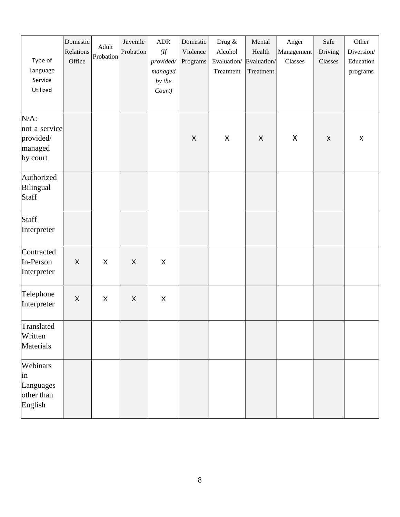| Type of<br>Language<br>Service<br>Utilized                   | Domestic<br>Relations<br>Office | Adult<br>Probation | Juvenile<br>Probation | ADR<br>(ff)<br>provided/<br>managed<br>by the<br>Court) | Domestic<br>Violence<br>Programs | Drug &<br>Alcohol<br>Evaluation/ Evaluation/<br>Treatment | Mental<br>Health<br>Treatment | Anger<br>Management<br>Classes | Safe<br>Driving<br>Classes | Other<br>Diversion/<br>Education<br>programs |
|--------------------------------------------------------------|---------------------------------|--------------------|-----------------------|---------------------------------------------------------|----------------------------------|-----------------------------------------------------------|-------------------------------|--------------------------------|----------------------------|----------------------------------------------|
| $N/A$ :<br>not a service<br>provided/<br>managed<br>by court |                                 |                    |                       |                                                         | X                                | X                                                         | X                             | X                              | $\pmb{\times}$             | $\pmb{\times}$                               |
| Authorized<br>Bilingual<br>Staff                             |                                 |                    |                       |                                                         |                                  |                                                           |                               |                                |                            |                                              |
| <b>Staff</b><br>Interpreter                                  |                                 |                    |                       |                                                         |                                  |                                                           |                               |                                |                            |                                              |
| Contracted<br>In-Person<br>Interpreter                       | $\boldsymbol{X}$                | X                  | $\times$              | $\pmb{\times}$                                          |                                  |                                                           |                               |                                |                            |                                              |
| Telephone<br>Interpreter                                     | $\mathsf{X}$                    | X                  | X                     | X                                                       |                                  |                                                           |                               |                                |                            |                                              |
| Translated<br>Written<br>Materials                           |                                 |                    |                       |                                                         |                                  |                                                           |                               |                                |                            |                                              |
| Webinars<br>in<br>Languages<br>other than<br>English         |                                 |                    |                       |                                                         |                                  |                                                           |                               |                                |                            |                                              |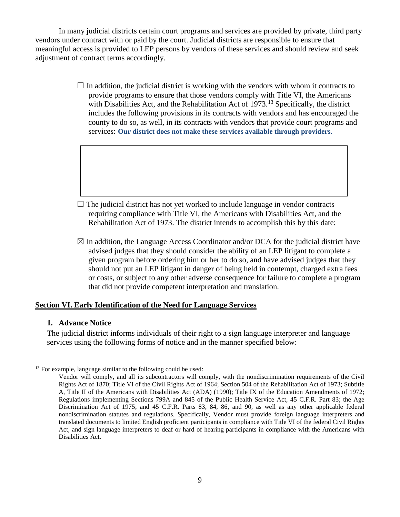In many judicial districts certain court programs and services are provided by private, third party vendors under contract with or paid by the court. Judicial districts are responsible to ensure that meaningful access is provided to LEP persons by vendors of these services and should review and seek adjustment of contract terms accordingly.

> $\Box$  In addition, the judicial district is working with the vendors with whom it contracts to provide programs to ensure that those vendors comply with Title VI, the Americans with Disabilities Act, and the Rehabilitation Act of 1973.<sup>[13](#page-8-0)</sup> Specifically, the district includes the following provisions in its contracts with vendors and has encouraged the county to do so, as well, in its contracts with vendors that provide court programs and services: **Our district does not make these services available through providers.**



 $\boxtimes$  In addition, the Language Access Coordinator and/or DCA for the judicial district have advised judges that they should consider the ability of an LEP litigant to complete a given program before ordering him or her to do so, and have advised judges that they should not put an LEP litigant in danger of being held in contempt, charged extra fees or costs, or subject to any other adverse consequence for failure to complete a program that did not provide competent interpretation and translation.

### **Section VI. Early Identification of the Need for Language Services**

### **1. Advance Notice**

The judicial district informs individuals of their right to a sign language interpreter and language services using the following forms of notice and in the manner specified below:

<span id="page-8-0"></span> $\overline{a}$ <sup>13</sup> For example, language similar to the following could be used:

Vendor will comply, and all its subcontractors will comply, with the nondiscrimination requirements of the Civil Rights Act of 1870; Title VI of the Civil Rights Act of 1964; Section 504 of the Rehabilitation Act of 1973; Subtitle A, Title II of the Americans with Disabilities Act (ADA) (1990); Title IX of the Education Amendments of 1972; Regulations implementing Sections 799A and 845 of the Public Health Service Act, 45 C.F.R. Part 83; the Age Discrimination Act of 1975; and 45 C.F.R. Parts 83, 84, 86, and 90, as well as any other applicable federal nondiscrimination statutes and regulations. Specifically, Vendor must provide foreign language interpreters and translated documents to limited English proficient participants in compliance with Title VI of the federal Civil Rights Act, and sign language interpreters to deaf or hard of hearing participants in compliance with the Americans with Disabilities Act.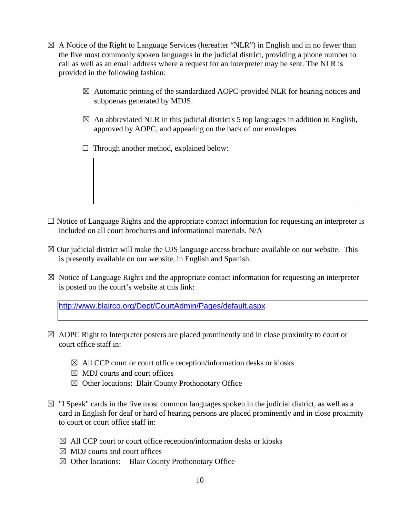- $\boxtimes$  A Notice of the Right to Language Services (hereafter "NLR") in English and in no fewer than the five most commonly spoken languages in the judicial district, providing a phone number to call as well as an email address where a request for an interpreter may be sent. The NLR is provided in the following fashion:
	- $\boxtimes$  Automatic printing of the standardized AOPC-provided NLR for hearing notices and subpoenas generated by MDJS.
	- $\boxtimes$  An abbreviated NLR in this judicial district's 5 top languages in addition to English, approved by AOPC, and appearing on the back of our envelopes.
	- $\Box$  Through another method, explained below:

- $\Box$  Notice of Language Rights and the appropriate contact information for requesting an interpreter is included on all court brochures and informational materials. N/A
- $\boxtimes$  Our judicial district will make the UJS language access brochure available on our website. This is presently available on our website, in English and Spanish.
- $\boxtimes$  Notice of Language Rights and the appropriate contact information for requesting an interpreter is posted on the court's website at this link:

<http://www.blairco.org/Dept/CourtAdmin/Pages/default.aspx>

- $\boxtimes$  AOPC Right to Interpreter posters are placed prominently and in close proximity to court or court office staff in:
	- $\boxtimes$  All CCP court or court office reception/information desks or kiosks
	- $\boxtimes$  MDJ courts and court offices
	- ☒ Other locations: Blair County Prothonotary Office
- $\boxtimes$  "I Speak" cards in the five most common languages spoken in the judicial district, as well as a card in English for deaf or hard of hearing persons are placed prominently and in close proximity to court or court office staff in:
	- $\boxtimes$  All CCP court or court office reception/information desks or kiosks
	- $\boxtimes$  MDJ courts and court offices
	- ☒ Other locations: Blair County Prothonotary Office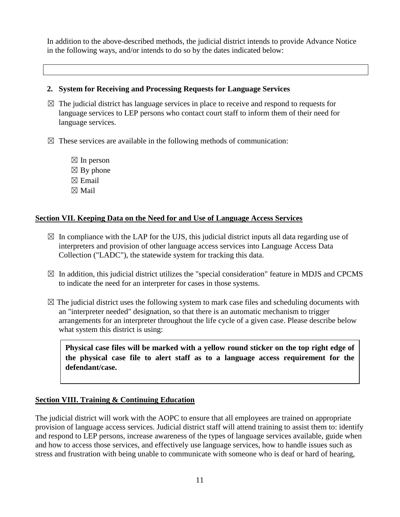In addition to the above-described methods, the judicial district intends to provide Advance Notice in the following ways, and/or intends to do so by the dates indicated below:

## **2. System for Receiving and Processing Requests for Language Services**

- $\boxtimes$  The judicial district has language services in place to receive and respond to requests for language services to LEP persons who contact court staff to inform them of their need for language services.
- $\boxtimes$  These services are available in the following methods of communication:
	- $\boxtimes$  In person  $\boxtimes$  By phone  $\boxtimes$  Email ☒ Mail

## **Section VII. Keeping Data on the Need for and Use of Language Access Services**

- $\boxtimes$  In compliance with the LAP for the UJS, this judicial district inputs all data regarding use of interpreters and provision of other language access services into Language Access Data Collection ("LADC"), the statewide system for tracking this data.
- $\boxtimes$  In addition, this judicial district utilizes the "special consideration" feature in MDJS and CPCMS to indicate the need for an interpreter for cases in those systems.
- $\boxtimes$  The judicial district uses the following system to mark case files and scheduling documents with an "interpreter needed" designation, so that there is an automatic mechanism to trigger arrangements for an interpreter throughout the life cycle of a given case. Please describe below what system this district is using:

**Physical case files will be marked with a yellow round sticker on the top right edge of the physical case file to alert staff as to a language access requirement for the defendant/case.**

## **Section VIII. Training & Continuing Education**

The judicial district will work with the AOPC to ensure that all employees are trained on appropriate provision of language access services. Judicial district staff will attend training to assist them to: identify and respond to LEP persons, increase awareness of the types of language services available, guide when and how to access those services, and effectively use language services, how to handle issues such as stress and frustration with being unable to communicate with someone who is deaf or hard of hearing,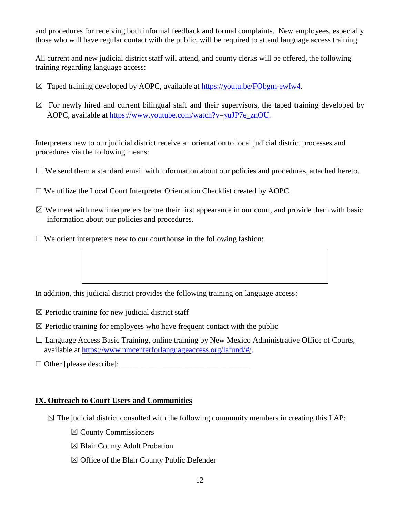and procedures for receiving both informal feedback and formal complaints. New employees, especially those who will have regular contact with the public, will be required to attend language access training.

All current and new judicial district staff will attend, and county clerks will be offered, the following training regarding language access:

- $\boxtimes$  Taped training developed by AOPC, available at [https://youtu.be/FObgm-ewIw4.](https://youtu.be/FObgm-ewIw4)
- $\boxtimes$  For newly hired and current bilingual staff and their supervisors, the taped training developed by AOPC, available at [https://www.youtube.com/watch?v=yuJP7e\\_znOU.](https://www.youtube.com/watch?v=yuJP7e_znOU)

Interpreters new to our judicial district receive an orientation to local judicial district processes and procedures via the following means:

- $\Box$  We send them a standard email with information about our policies and procedures, attached hereto.
- ☐ We utilize the Local Court Interpreter Orientation Checklist created by AOPC.
- $\boxtimes$  We meet with new interpreters before their first appearance in our court, and provide them with basic information about our policies and procedures.
- $\Box$  We orient interpreters new to our courthouse in the following fashion:

In addition, this judicial district provides the following training on language access:

- $\boxtimes$  Periodic training for new judicial district staff
- $\boxtimes$  Periodic training for employees who have frequent contact with the public
- $\Box$  Language Access Basic Training, online training by New Mexico Administrative Office of Courts, available at [https://www.nmcenterforlanguageaccess.org/lafund/#/.](https://www.nmcenterforlanguageaccess.org/lafund/)

☐ Other [please describe]: \_\_\_\_\_\_\_\_\_\_\_\_\_\_\_\_\_\_\_\_\_\_\_\_\_\_\_\_\_\_\_\_\_

#### **IX. Outreach to Court Users and Communities**

- $\boxtimes$  The judicial district consulted with the following community members in creating this LAP:
	- ☒ County Commissioners
	- ☒ Blair County Adult Probation
	- $\boxtimes$  Office of the Blair County Public Defender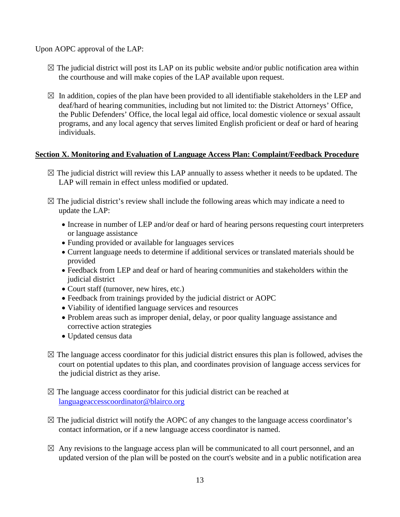Upon AOPC approval of the LAP:

- $\boxtimes$  The judicial district will post its LAP on its public website and/or public notification area within the courthouse and will make copies of the LAP available upon request.
- $\boxtimes$  In addition, copies of the plan have been provided to all identifiable stakeholders in the LEP and deaf/hard of hearing communities, including but not limited to: the District Attorneys' Office, the Public Defenders' Office, the local legal aid office, local domestic violence or sexual assault programs, and any local agency that serves limited English proficient or deaf or hard of hearing individuals.

## **Section X. Monitoring and Evaluation of Language Access Plan: Complaint/Feedback Procedure**

- $\boxtimes$  The judicial district will review this LAP annually to assess whether it needs to be updated. The LAP will remain in effect unless modified or updated.
- $\boxtimes$  The judicial district's review shall include the following areas which may indicate a need to update the LAP:
	- Increase in number of LEP and/or deaf or hard of hearing persons requesting court interpreters or language assistance
	- Funding provided or available for languages services
	- Current language needs to determine if additional services or translated materials should be provided
	- Feedback from LEP and deaf or hard of hearing communities and stakeholders within the judicial district
	- Court staff (turnover, new hires, etc.)
	- Feedback from trainings provided by the judicial district or AOPC
	- Viability of identified language services and resources
	- Problem areas such as improper denial, delay, or poor quality language assistance and corrective action strategies
	- Updated census data
- $\boxtimes$  The language access coordinator for this judicial district ensures this plan is followed, advises the court on potential updates to this plan, and coordinates provision of language access services for the judicial district as they arise.
- $\boxtimes$  The language access coordinator for this judicial district can be reached at [languageaccesscoordinator@blairco.org](mailto:languageaccesscoordinator@blairco.org)
- $\boxtimes$  The judicial district will notify the AOPC of any changes to the language access coordinator's contact information, or if a new language access coordinator is named.
- $\boxtimes$  Any revisions to the language access plan will be communicated to all court personnel, and an updated version of the plan will be posted on the court's website and in a public notification area